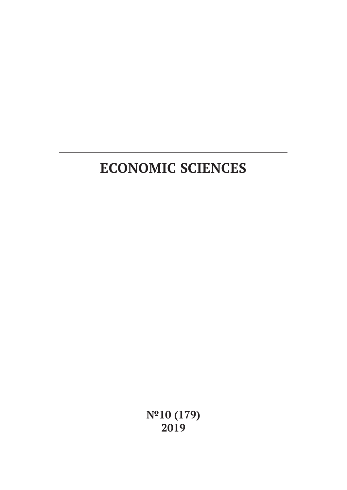**№10 (179) 2019**

# **ECONOMIC SCIENCES**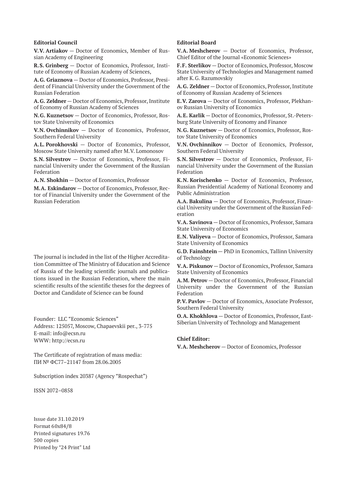#### **Editorial Council**

**V.V. Artiakov** — Doctor of Economics, Member of Russian Academy of Engineering

**R.S. Grinberg** — Doctor of Economics, Professor, Institute of Economy of Russian Academy of Sciences,

**A.G. Griaznova** — Doctor of Economics, Professor, President of Financial University under the Government of the Russian Federation

**A.G. Zeldner** — Doctor of Economics, Professor, Institute of Economy of Russian Academy of Sciences

**N.G. Kuznetsov** — Doctor of Economics, Professor, Rostov State University of Economics

**V.N. Ovchinnikov** — Doctor of Economics, Professor, Southern Federal University

**A.L. Porokhovski** — Doctor of Economics, Professor, Moscow State University named after M.V. Lomonosov

**S.N. Silvestrov** — Doctor of Economics, Professor, Financial University under the Government of the Russian Federation

**A.N. Shokhin** — Doctor of Economics, Professor

**M.A. Eskindarov** — Doctor of Economics, Professor, Rector of Financial University under the Government of the Russian Federation

The journal is included in the list of the Higher Accreditation Committee of The Ministry of Education and Science of Russia of the leading scientific journals and publications issued in the Russian Federation, where the main scientific results of the scientific theses for the degrees of Doctor and Candidate of Science can be found

Founder: LLC "Economic Sciences" Address: 125057, Moscow, Chapaevskii per., 3-775 E-mail: info@ecsn.ru WWW: http://ecsn.ru

The Certificate of registration of mass media: ПИ № ФС77–21147 from 28.06.2005

Subscription index 20387 (Agency "Rospechat")

ISSN 2072–0858

Issue date 31.10.2019 Format 60х84/8 Printed signatures 19.76 500 copies Printed by "24 Print" Ltd

#### **Editorial Board**

**V.A. Meshcherov** — Doctor of Economics, Professor, Chief Editor of the Journal «Economic Sciences»

**F.F. Sterlikov** — Doctor of Economics, Professor, Moscow State University of Technologies and Management named after K.G. Razumovskiy

**A.G. Zeldner** — Doctor of Economics, Professor, Institute of Economy of Russian Academy of Sciences

**E.V. Zarova** — Doctor of Economics, Professor, Plekhanov Russian University of Economics

**A.E. Karlik** — Doctor of Economics, Professor, St.-Petersburg State University of Economy and Finance

**N.G. Kuznetsov** — Doctor of Economics, Professor, Rostov State University of Economics

**V.N. Ovchinnikov** — Doctor of Economics, Professor, Southern Federal University

**S.N. Silvestrov** — Doctor of Economics, Professor, Financial University under the Government of the Russian Federation

**K.N. Korischenko** — Doctor of Economics, Professor, Russian Presidential Academy of National Economy and Public Administration

**A.A. Bakulina** — Doctor of Economics, Professor, Financial University under the Government of the Russian Federation

**V.A. Savinova** — Doctor of Economics, Professor, Samara State University of Economics

**E.N. Valiyeva** — Doctor of Economics, Professor, Samara State University of Economics

**G.D. Fainshtein** — PhD in Economics, Tallinn University of Technology

**V.A. Piskunov** — Doctor of Economics, Professor, Samara State University of Economics

**A.M. Petrov** — Doctor of Economics, Professor, Financial University under the Government of the Russian Federation

**P.V. Pavlov** — Doctor of Economics, Associate Professor, Southern Federal University

**O.A. Khokhlova** — Doctor of Economics, Professor, East-Siberian University of Technology and Management

#### **Chief Editor:**

**V.A. Meshcherov** — Doctor of Economics, Professor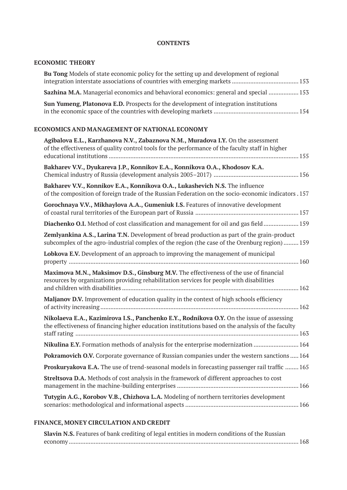## **CONTENTS**

# **ECONOMIC THEORY**

| <b>Bu Tong</b> Models of state economic policy for the setting up and development of regional |  |
|-----------------------------------------------------------------------------------------------|--|
|                                                                                               |  |
| <b>Sazhina M.A.</b> Managerial economics and behavioral economics: general and special  153   |  |
| <b>Sun Yumeng, Platonova E.D.</b> Prospects for the development of integration institutions   |  |
|                                                                                               |  |

## **ECONOMICS AND MANAGEMENT OF NATIONAL ECONOMY**

| Agibalova E.L., Karzhanova N.V., Zabaznova N.M., Muradova I.Y. On the assessment<br>of the effectiveness of quality control tools for the performance of the faculty staff in higher           |
|------------------------------------------------------------------------------------------------------------------------------------------------------------------------------------------------|
| Bakharev V.V., Dyukareva J.P., Konnikov E.A., Konnikova O.A., Khodosov K.A.                                                                                                                    |
| Bakharev V.V., Konnikov E.A., Konnikova O.A., Lukashevich N.S. The influence<br>of the composition of foreign trade of the Russian Federation on the socio-economic indicators . 157           |
| Gorochnaya V.V., Mikhaylova A.A., Gumeniuk I.S. Features of innovative development                                                                                                             |
| Diachenko O.I. Method of cost classification and management for oil and gas field 159                                                                                                          |
| Zemlyankina A.S., Larina T.N. Development of bread production as part of the grain-product<br>subcomplex of the agro-industrial complex of the region (the case of the Orenburg region) 159    |
| Lobkova E.V. Development of an approach to improving the management of municipal                                                                                                               |
| Maximova M.N., Maksimov D.S., Ginsburg M.V. The effectiveness of the use of financial<br>resources by organizations providing rehabilitation services for people with disabilities             |
| Maljanov D.V. Improvement of education quality in the context of high schools efficiency                                                                                                       |
| Nikolaeva E.A., Kazimirova I.S., Panchenko E.Y., Rodnikova O.Y. On the issue of assessing<br>the effectiveness of financing higher education institutions based on the analysis of the faculty |
| Nikulina E.Y. Formation methods of analysis for the enterprise modernization  164                                                                                                              |
| <b>Pokramovich O.V.</b> Corporate governance of Russian companies under the western sanctions  164                                                                                             |
| Proskuryakova E.A. The use of trend-seasonal models in forecasting passenger rail traffic  165                                                                                                 |
| Streltsova D.A. Methods of cost analysis in the framework of different approaches to cost                                                                                                      |
| Tutygin A.G., Korobov V.B., Chizhova L.A. Modeling of northern territories development                                                                                                         |
|                                                                                                                                                                                                |

# **FINANCE, MONEY CIRCULATION AND CREDIT**

| Slavin N.S. Features of bank crediting of legal entities in modern conditions of the Russian |  |
|----------------------------------------------------------------------------------------------|--|
|                                                                                              |  |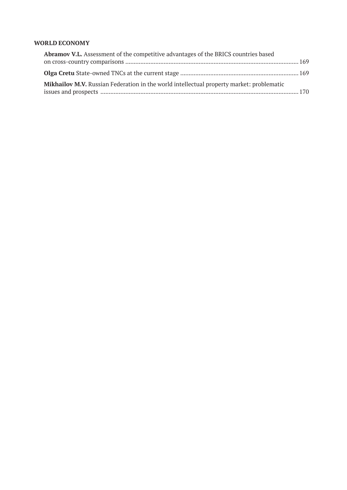## **WORLD ECONOMY**

| <b>Abramov V.L.</b> Assessment of the competitive advantages of the BRICS countries based |  |
|-------------------------------------------------------------------------------------------|--|
|                                                                                           |  |
|                                                                                           |  |
| Mikhailov M.V. Russian Federation in the world intellectual property market: problematic  |  |
|                                                                                           |  |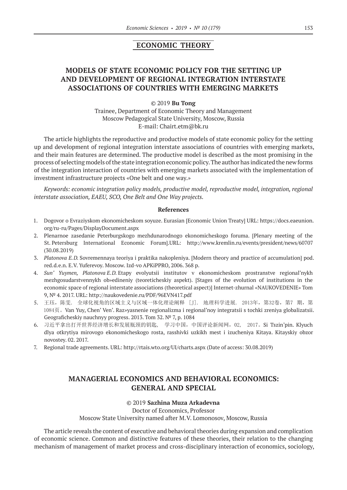# **ECONOMIC THEORY**

# **MODELS OF STATE ECONOMIC POLICY FOR THE SETTING UP AND DEVELOPMENT OF REGIONAL INTEGRATION INTERSTATE ASSOCIATIONS OF COUNTRIES WITH EMERGING MARKETS**

#### ©© 2019 **Bu Tong**

Trainee, Department of Economic Theory and Management Moscow Pedagogical State University, Moscow, Russia E‑mail: Chairt.etm@bk.ru

The article highlights the reproductive and productive models of state economic policy for the setting up and development of regional integration interstate associations of countries with emerging markets, and their main features are determined. The productive model is described as the most promising in the process of selecting models of the state integration economic policy. The author has indicated the new forms of the integration interaction of countries with emerging markets associated with the implementation of investment infrastructure projects «One belt and one way.»

*Keywords: economic integration policy models, productive model, reproductive model, integration, regional interstate association, EAEU, SCO, One Belt and One Way projects.*

#### **References**

- 1. Dogovor o Evraziyskom ekonomicheskom soyuze. Eurasian [Economic Union Treaty] URL: https://docs.eaeunion. org/ru-ru/Pages/DisplayDocument.aspx
- 2. Plenarnoe zasedanie Peterburgskogo mezhdunarodnogo ekonomicheskogo foruma. [Plenary meeting of the St. Petersburg International Economic Forum].URL: http://www.kremlin.ru/events/president/news/60707 (30.08.2019)
- 3. *Platonova E.D.* Sovremennaya teoriya i praktika nakopleniya. [Modern theory and practice of accumulation] pod. red.d.e.n. E.V. Yuferevoy. Moscow. Izd-vo APKiPPRO, 2006. 368 p.
- 4. *Sun' Yuymen, Platonova E.D.* Etapy evolyutsii institutov v ekonomicheskom prostranstve regional'nykh mezhgosudarstvennykh ob»edineniy (teoreticheskiy aspekt). [Stages of the evolution of institutions in the economic space of regional interstate associations (theoretical aspect)] Internet-zhurnal «NAUKOVEDENIE» Tom 9, № 4. 2017. URL: http://naukovedenie.ru/PDF/96EVN417.pdf
- 5. 王珏,陈雯. 全球化视角的区域主义与区域一体化理论阐释 [J]. 地理科学进展. 2013年, 第32卷, 第7 期, 第 1084页。Van Yuy, Chen' Ven'. Raz»yasnenie regionalizma i regional'noy integratsii s tochki zreniya globalizatsii. Geograficheskiy nauchnyy progress. 2013. Tom 32. № 7, p. 1084
- 6. 习近平拿出打开世界经济增长和发展瓶颈的钥匙, 学习中国,中国评论新闻网,02, 2017。Si Tszin'pin. Klyuch dlya otkrytiya mirovogo ekonomicheskogo rosta, rasshivki uzkikh mest i izucheniya Kitaya. Kitayskiy obzor novostey. 02. 2017.
- 7. Regional trade agreements. URL: http://rtais.wto.org/UI/charts.aspx (Date of access: 30.08.2019)

# **MANAGERIAL ECONOMICS AND BEHAVIORAL ECONOMICS: GENERAL AND SPECIAL**

#### ©© 2019 **Sazhina Muza Arkadevna**

Doctor of Economics, Professor

Moscow State University named after M.V. Lomonosov, Moscow, Russia

The article reveals the content of executive and behavioral theories during expansion and complication of economic science. Common and distinctive features of these theories, their relation to the changing mechanism of management of market process and cross-disciplinary interaction of economics, sociology,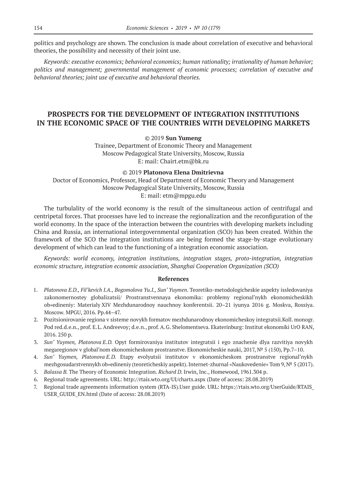politics and psychology are shown. The conclusion is made about correlation of executive and behavioral theories, the possibility and necessity of their joint use.

*Keywords: executive economics; behavioral economics; human rationality; irrationality of human behavior; politics and management; governmental management of economic processes; correlation of executive and behavioral theories; joint use of executive and behavioral theories.*

# **PROSPECTS FOR THE DEVELOPMENT OF INTEGRATION INSTITUTIONS IN THE ECONOMIC SPACE OF THE COUNTRIES WITH DEVELOPING MARKETS**

#### ©© 2019 **Sun Yumeng**

Trainee, Department of Economic Theory and Management Moscow Pedagogical State University, Moscow, Russia E: mail: Chairt.etm@bk.ru

#### ©© 2019 **Platonova Elena Dmitrievna**

Doctor of Economics, Professor, Head of Department of Economic Theory and Management Moscow Pedagogical State University, Moscow, Russia E: mail: etm@mpgu.edu

The turbulality of the world economy is the result of the simultaneous action of centrifugal and centripetal forces. That processes have led to increase the regionalization and the reconfiguration of the world economy. In the space of the interaction between the countries with developing markets including China and Russia, an international intergovernmental organization (SCO) has been created. Within the framework of the SCO the integration institutions are being formed the stage-by-stage evolutionary development of which can lead to the functioning of a integration economic association.

*Keywords: world economy, integration institutions, integration stages, proto-integration, integration economic structure, integration economic association, Shanghai Cooperation Organization (SCO)*

- 1. *Platonova E.D., Fil'kevich I.A., Bogomolova Yu.I., Sun' Yuymen*. Teoretiko-metodologicheskie aspekty issledovaniya zakonomernostey globalizatsii/ Prostranstvennaya ekonomika: problemy regional'nykh ekonomicheskikh ob»edineniy: Materialy XIV Mezhdunarodnoy nauchnoy konferentsii. 20–21 iyunya 2016 g. Moskva, Rossiya. Moscow. MPGU, 2016. Pp.44–47.
- 2. Pozitsionirovanie regiona v sisteme novykh formatov mezhdunarodnoy ekonomicheskoy integratsii.Koll. monogr. Pod red.d.e.n., prof. E.L. Andreevoy; d.e.n., prof. A.G. Shelomentseva. Ekaterinburg: Institut ekonomiki UrO RAN, 2016. 250 p.
- 3. *Sun' Yuymen, Platonova E.D.* Opyt formirovaniya institutov integratsii i ego znachenie dlya razvitiya novykh megaregionov v global'nom ekonomicheskom prostranstve. Ekonomicheskie nauki, 2017, № 5 (150), Pp.7–10.
- 4. *Sun' Yuymen, Platonova E.D.* Etapy evolyutsii institutov v ekonomicheskom prostranstve regional'nykh mezhgosudarstvennykh ob»edineniy (teoreticheskiy aspekt). Internet-zhurnal «Naukovedenie» Tom 9, № 5 (2017).
- 5. *Balassa B.* The Theory of Economic Integration. *Richard D.* Irwin, Inc., Homewood, 1961.304 p.
- 6. Regional trade agreements. URL: http://rtais.wto.org/UI/charts.aspx (Date of access: 28.08.2019)
- 7. Regional trade agreements information system (RTA-IS).User guide. URL: https://rtais.wto.org/UserGuide/RTAIS\_ USER\_GUIDE\_EN.html (Date of access: 28.08.2019)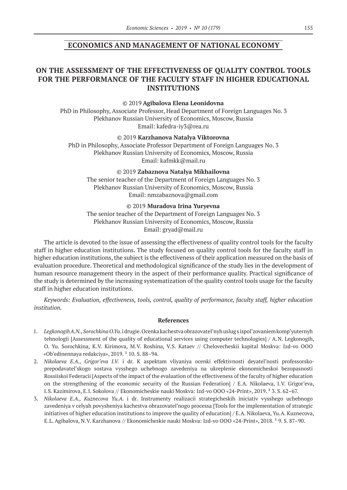## **ECONOMICS AND MANAGEMENT OF NATIONAL ECONOMY**

# **ON THE ASSESSMENT OF THE EFFECTIVENESS OF QUALITY CONTROL TOOLS FOR THE PERFORMANCE OF THE FACULTY STAFF IN HIGHER EDUCATIONAL INSTITUTIONS**

©© 2019 **Agibalova Elena Leonidovna**

PhD in Philosophy, Associate Professor, Head Department of Foreign Languages No. 3 Plekhanov Russian University of Economics, Moscow, Russia Email: kafedra-iy3@rea.ru

©© 2019 **Karzhanova Natalya Viktorovna**

PhD in Philosophy, Associate Professor Department of Foreign Languages No. 3 Plekhanov Russian University of Economics, Moscow, Russia Email: kafmkk@mail.ru

©© 2019 **Zabaznova Natalya Mikhailovna**

The senior teacher of the Department of Foreign Languages No. 3 Plekhanov Russian University of Economics, Moscow, Russia Email: nmzabaznova@gmail.com

#### ©© 2019 **Muradova Irina Yuryevna**

The senior teacher of the Department of Foreign Languages No. 3 Plekhanov Russian University of Economics, Moscow, Russia Email: gryad@mail.ru

The article is devoted to the issue of assessing the effectiveness of quality control tools for the faculty staff in higher education institutions. The study focused on quality control tools for the faculty staff in higher education institutions, the subject is the effectiveness of their application measured on the basis of evaluation procedure. Theoretical and methodological significance of the study lies in the development of human resource management theory in the aspect of their performance quality. Practical significance of the study is determined by the increasing systematization of the quality control tools usage for the faculty staff in higher education institutions.

*Keywords: Evaluation, effectiveness, tools, control, quality of performance, faculty staff, higher education institution.*

- 1. *Legkonogih A.N., Sorochkina O.Yu.* i drugie. Ocenka kachestva obrazovatel'nyh uslug s ispol'zovaniem komp'yuternyh tehnologii [Assessment of the quality of educational services using computer technologies] / A.N. Legkonogih, O. Yu. Sorochkina, K.V. Kirimova, M.V. Roshina, V.S. Kataev // Chelovecheskii kapital Moskva: Izd-vo OOO «Ob'edinennaya redakciya»,  $2019.110$ . S. 88-94.
- 2. *Nikolaeva E.A., Grigor'eva I.V.* i dr. K aspektam vliyaniya ocenki effektivnosti deyatel'nosti professorskoprepodavatel'skogo sostava vysshego uchebnogo zavedeniya na ukreplenie ekonomicheskoi bezopasnosti Rossiiskoi Federacii [Aspects of the impact of the evaluation of the effectiveness of the faculty of higher education on the strengthening of the economic security of the Russian Federation] / E.A. Nikolaeva, I.V. Grigor'eva, I.S. Kazimirova, E.I. Sokolova // Ekonomicheskie nauki Moskva: Izd-vo OOO «24-Print», 2019. <sup>1</sup> 3. S. 62-67.
- 3. *Nikolaeva E.A., Kuznecova Yu.A.* i dr. Instrumenty realizacii strategicheskih iniciativ vysshego uchebnogo zavedeniya v celyah povysheniya kachestva obrazovatel'nogo processa [Tools for the implementation of strategic initiatives of higher education institutions to improve the quality of education] / E.A. Nikolaeva, Yu.A. Kuznecova, E.L. Agibalova, N.V. Karzhanova // Ekonomicheskie nauki Moskva: Izd-vo OOO «24-Print», 2018. <sup>1</sup> 9. S. 87–90.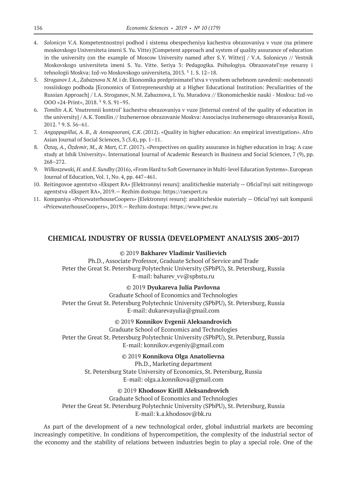- 4. *Solonicyn V. A.* Kompetentnostnyi podhod i sistema obespecheniya kachestva obrazovaniya v vuze (na primere moskovskogo Universiteta imeni S. Yu. Vitte) [Competent approach and system of quality assurance of education in the university (on the example of Moscow University named after S.Y. Witte)] / V.A. Solonicyn // Vestnik Moskovskogo universiteta imeni S. Yu. Vitte. Seriya 3: Pedagogika. Psihologiya. Obrazovatel'nye resursy i tehnologii Moskva: Izd-vo Moskovskogo universiteta, 2013. <sup>1</sup> 1. S. 12-18.
- 5. *Stroganov I.A., Zabaznova N. M.* i dr. Ekonomika predprinimatel'stva v vysshem uchebnom zavedenii: osobennosti rossiiskogo podhoda [Economics of Entrepreneurship at a Higher Educational Institution: Peculiarities of the Russian Approach] / I.A. Stroganov, N.M. Zabaznova, I. Yu. Muradova // Ekonomicheskie nauki - Moskva: Izd-vo OOO «24-Print», 2018, <sup>1</sup> 9, S, 91-95.
- 6. *Tomilin A. K.* Vnutrennii kontrol' kachestva obrazovaniya v vuze [Internal control of the quality of education in the university] / A.K. Tomilin // Inzhenernoe obrazovanie Moskva: Associaciya inzhenernogo obrazovaniya Rossii,  $2012.$ <sup>1</sup> 9. S. 56-61.
- 7. *Angappapillai, A. B., & Annapoorani, C.K*. (2012). «Quality in higher education: An empirical investigation». Afro Asian Journal of Social Sciences, 3 (3.4), pp. 1–11.
- 8. *Öztaş, A., Özdemir, M., & Mart, C.T*. (2017). «Perspectives on quality assurance in higher education in Iraq: A case study at Ishik University». International Journal of Academic Research in Business and Social Sciences, 7 (9), pp. 268–272.
- 9. *Wilkoszewski, H*. and *E. Sundby* (2016), «From Hard to Soft Governance in Multi-level Education Systems». European Journal of Education, Vol. 1, No. 4, pp. 447–461.
- 10. Reitingovoe agentstvo «Ekspert RA» [Elektronnyi resurs]: analiticheskie materialy Oficial'nyi sait reitingovogo agentstva «Ekspert RA», 2019.— Rezhim dostupa: https://raexpert.ru
- 11. Kompaniya «PricewaterhouseCoopers» [Elektronnyi resurs]: analiticheskie materialy Oficial'nyi sait kompanii «PricewaterhouseCoopers», 2019.— Rezhim dostupa: https://www.pwc.ru

## **CHEMICAL INDUSTRY OF RUSSIA (DEVELOPMENT ANALYSIS 2005–2017)**

#### ©© 2019 **Bakharev Vladimir Vasilievich**

Ph.D., Associate Professor, Graduate School of Service and Trade Peter the Great St. Petersburg Polytechnic University (SPbPU), St. Petersburg, Russia E‑mail: baharev\_vv@spbstu.ru

#### ©© 2019 **Dyukareva Julia Pavlovna**

Graduate School of Economics and Technologies Peter the Great St. Petersburg Polytechnic University (SPbPU), St. Petersburg, Russia E‑mail: dukarevayulia@gmail.com

#### ©© 2019 **Konnikov Evgenii Aleksandrovich**

Graduate School of Economics and Technologies Peter the Great St. Petersburg Polytechnic University (SPbPU), St. Petersburg, Russia E‑mail: konnikov.evgeniy@gmail.com

## ©© 2019 **Konnikova Olga Anatolievna**

Ph.D., Marketing department St. Petersburg State University of Economics, St. Petersburg, Russia

E‑mail: olga.a.konnikova@gmail.com

## ©© 2019 **Khodosov Kirill Aleksandrovich**

Graduate School of Economics and Technologies Peter the Great St. Petersburg Polytechnic University (SPbPU), St. Petersburg, Russia E‑mail: k.a.khodosov@bk.ru

As part of the development of a new technological order, global industrial markets are becoming increasingly competitive. In conditions of hypercompetition, the complexity of the industrial sector of the economy and the stability of relations between industries begin to play a special role. One of the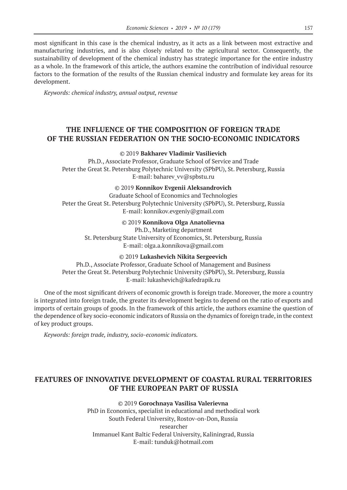most significant in this case is the chemical industry, as it acts as a link between most extractive and manufacturing industries, and is also closely related to the agricultural sector. Consequently, the sustainability of development of the chemical industry has strategic importance for the entire industry as a whole. In the framework of this article, the authors examine the contribution of individual resource factors to the formation of the results of the Russian chemical industry and formulate key areas for its development.

*Keywords: chemical industry, annual output, revenue*

# **THE INFLUENCE OF THE COMPOSITION OF FOREIGN TRADE OF THE RUSSIAN FEDERATION ON THE SOCIO-ECONOMIC INDICATORS**

#### ©© 2019 **Bakharev Vladimir Vasilievich**

Ph.D., Associate Professor, Graduate School of Service and Trade Peter the Great St. Petersburg Polytechnic University (SPbPU), St. Petersburg, Russia E‑mail: baharev\_vv@spbstu.ru

#### ©© 2019 **Konnikov Evgenii Aleksandrovich**

Graduate School of Economics and Technologies Peter the Great St. Petersburg Polytechnic University (SPbPU), St. Petersburg, Russia E‑mail: konnikov.evgeniy@gmail.com

## ©© 2019 **Konnikova Olga Anatolievna**

Ph.D., Marketing department

St. Petersburg State University of Economics, St. Petersburg, Russia E‑mail: olga.a.konnikova@gmail.com

©© 2019 **Lukashevich Nikita Sergeevich**

Ph.D., Associate Professor, Graduate School of Management and Business Peter the Great St. Petersburg Polytechnic University (SPbPU), St. Petersburg, Russia E‑mail: lukashevich@kafedrapik.ru

One of the most significant drivers of economic growth is foreign trade. Moreover, the more a country is integrated into foreign trade, the greater its development begins to depend on the ratio of exports and imports of certain groups of goods. In the framework of this article, the authors examine the question of the dependence of key socio-economic indicators of Russia on the dynamics of foreign trade, in the context of key product groups.

*Keywords: foreign trade, industry, socio-economic indicators.*

# **FEATURES OF INNOVATIVE DEVELOPMENT OF COASTAL RURAL TERRITORIES OF THE EUROPEAN PART OF RUSSIA**

#### ©© 2019 **Gorochnaya Vasilisa Valerievna**

PhD in Economics, specialist in educational and methodical work South Federal University, Rostov-on-Don, Russia researcher Immanuel Kant Baltic Federal University, Kaliningrad, Russia Е‑mail: tunduk@hotmail.com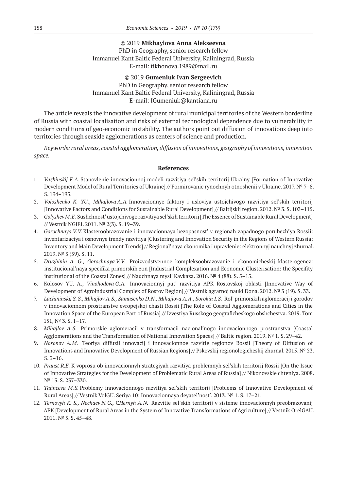## ©© 2019 **Mikhaylova Anna Alekseevna** PhD in Geography, senior research fellow Immanuel Kant Baltic Federal University, Kaliningrad, Russia Е‑mail: tikhonova.1989@mail.ru

©© 2019 **Gumeniuk Ivan Sergeevich** PhD in Geography, senior research fellow Immanuel Kant Baltic Federal University, Kaliningrad, Russia Е‑mail: IGumeniuk@kantiana.ru

The article reveals the innovative development of rural municipal territories of the Western borderline of Russia with coastal localisation and risks of external technological dependence due to vulnerability in modern conditions of geo-economic instability. The authors point out diffusion of innovations deep into territories through seaside agglomerations as centers of science and production.

*Keywords: rural areas, coastal agglomeration, diffusion of innovations, geography of innovations, innovation space.*

- 1. *Vazhinskij F.A.* Stanovlenie innovacionnoj modeli razvitiya sel'skih territorij Ukrainy [Formation of Innovative Development Model of Rural Territories of Ukraine] // Formirovanie rynochnyh otnoshenij v Ukraine. 2017. № 7–8. S. 194–195.
- 2. *Voloshenko K. YU*., *Mihajlova A. A.* Innovacionnye faktory i usloviya ustojchivogo razvitiya sel'skih territorij [Innovative Factors and Conditions for Sustainable Rural Development] // Baltijskij region. 2012. № 3. S. 103–115.
- 3. *Golyshev M. E.* Sushchnost' ustojchivogo razvitiya sel'skih territorij [The Essence of Sustainable Rural Development] // Vestnik NGIEI. 2011. № 2(3). S. 19–39.
- 4. *Gorochnaya V.V.* Klasteroobrazovanie i innovacionnaya bezopasnost' v regionah zapadnogo porubezh'ya Rossii: inventarizaciya i osnovnye trendy razvitiya [Clustering and Innovation Security in the Regions of Western Russia: Inventory and Main Development Trends] // Regional'naya ekonomika i upravlenie: elektronnyj nauchnyj zhurnal. 2019. № 3 (59). S. 11.
- 5. *Druzhinin A. G., Gorochnaya V.V.* Proizvodstvennoe kompleksoobrazovanie i ekonomicheskij klasterogenez: institucional'naya specifika primorskih zon [Industrial Complexation and Economic Clusterisation: the Specifity institutional of the Coastal Zones] // Nauchnaya mysl' Kavkaza. 2016. № 4 (88). S. 5–15.
- 6. Kolosov YU. A., *Vinohodova G.A.* Innovacionnyj put' razvitiya APK Rostovskoj oblasti [Innovative Way of Development of Agroindustrial Complex of Rostov Region] // Vestnik agrarnoj nauki Dona. 2012. № 3 (19). S. 33.
- 7. *Lachininskij S. S., Mihajlov A. S., Samusenko D. N., Mihajlova A. A., Sorokin I. S.* Rol' primorskih aglomeracij i gorodov v innovacionnom prostranstve evropejskoj chasti Rossii [The Role of Coastal Agglomerations and Cities in the Innovation Space of the European Part of Russia] // Izvestiya Russkogo geograficheskogo obshchestva. 2019. Tom 151, № 3. S. 1–17.
- 8. *Mihajlov A. S.* Primorskie aglomeracii v transformacii nacional'nogo innovacionnogo prostranstva [Coastal Agglomerations and the Transformation of National Innovation Spaces] // Baltic region. 2019. № 1. S. 29–42.
- 9. *Nosonov A. M.* Teoriya diffuzii innovacij i innovacionnoe razvitie regionov Rossii [Theory of Diffusion of Innovations and Innovative Development of Russian Regions] // Pskovskij regionologicheskij zhurnal. 2015. № 23. S. 3–16.
- 10. *Praust R.E.* K voprosu ob innovacionnyh strategiyah razvitiya problemnyh sel'skih territorij Rossii [On the Issue of Innovative Strategies for the Development of Problematic Rural Areas of Russia] // Nikonovskie chteniya. 2008. № 13. S. 237–330.
- 11. *Tafinceva M. S.* Problemy innovacionnogo razvitiya sel'skih territorij [Problems of Innovative Development of Rural Areas] // Vestnik VolGU. Seriya 10: Innovacionnaya deyatel'nost'. 2013. № 1. S. 17–21.
- 12. *Ternovyh K. S., Nechaev N.G.,* C*Hernyh A.N.* Razvitie sel'skih territorij v sisteme innovacionnyh preobrazovanij APK [Development of Rural Areas in the System of Innovative Transformations of Agriculture] // Vestnik OrelGAU. 2011. № 5. S. 45–48.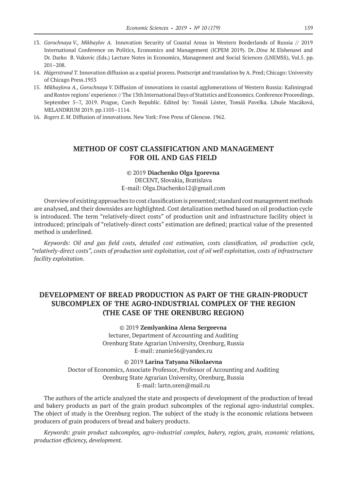- 13. *Gorochnaya V., Mikhaylov A.* Innovation Security of Coastal Areas in Western Borderlands of Russia // 2019 International Conference on Politics, Economics and Management (ICPEM 2019). Dr. *Dina M.* Elshenawi and Dr. Darko B. Vukovic (Eds.) Lecture Notes in Economics, Management and Social Sciences (LNEMSS), Vol.5. pp. 201–208.
- 14. *Hägerstrand T.* Innovation diffusion as a spatial process. Postscript and translation by A. Pred; Chicago: University of Chicago Press.1953
- 15. *Mikhaylovа A., Gorochnaya V.* Diffusion of innovations in coastal agglomerations of Western Russia: Kaliningrad and Rostov regions' experience // The 13th International Days of Statistics and Economics. Conference Proceedings. September 5–7, 2019. Prague, Czech Republic. Edited by: Tomáš Löster, Tomáš Pavelka. Libuše Macáková, MELANDRIUM 2019. pp.1105–1114.
- 16. *Rogers E. M.* Diffusion of innovations. New York: Free Press of Glencoe. 1962.

# **METHOD OF COST CLASSIFICATION AND MANAGEMENT FOR OIL AND GAS FIELD**

#### ©© 2019 **Diachenko Olga Igorevna**

DECENT, Slovakia, Bratislava E‑mail: Olga.Diachenko12@gmail.com

Overview of existing approaches to cost classification is presented; standard cost management methods are analysed, and their downsides are highlighted. Cost detalization method based on oil production cycle is introduced. The term "relatively-direct costs" of production unit and infrastructure facility object is introduced; principals of "relatively-direct costs" estimation are defined; practical value of the presented method is underlined.

*Keywords: Oil and gas field costs, detailed cost estimation, costs classification, oil production cycle, "relatively-direct costs", costs of production unit exploitation, cost of oil well exploitation, costs of infrastructure facility exploitation.*

# **DEVELOPMENT OF BREAD PRODUCTION AS PART OF THE GRAIN-PRODUCT SUBCOMPLEX OF THE AGRO-INDUSTRIAL COMPLEX OF THE REGION (THE CASE OF THE ORENBURG REGION)**

©© 2019 **Zemlyankina Alena Sergeevna** lecturer, Department of Accounting and Auditing Orenburg State Agrarian University, Orenburg, Russia E‑mail: znanie56@yandex.ru

©© 2019 **Larina Tatyana Nikolaevna** Doctor of Economics, Associate Professor, Professor of Accounting and Auditing Orenburg State Agrarian University, Orenburg, Russia E-mail: lartn.oren@mail.ru

The authors of the article analyzed the state and prospects of development of the production of bread and bakery products as part of the grain product subcomplex of the regional agro-industrial complex. The object of study is the Orenburg region. The subject of the study is the economic relations between producers of grain producers of bread and bakery products.

*Keywords: grain product subcomplex, agro-industrial complex, bakery, region, grain, economic relations, production efficiency, development.*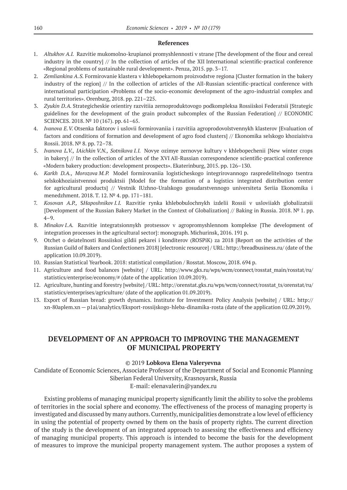#### **References**

- 1. *Altukhov A.I.* Razvitie mukomolno-krupianoi promyshlennosti v strane [The development of the flour and cereal industry in the country] // In the collection of articles of the XII International scientific-practical conference «Regional problems of sustainable rural development». Penza, 2015. pp. 3–17.
- 2. *Zemliankina A. S.* Formirovanie klastera v khlebopekarnom proizvodstve regiona [Cluster formation in the bakery industry of the region] // In the collection of articles of the All-Russian scientific-practical conference with international participation «Problems of the socio-economic development of the agro-industrial complex and rural territories». Orenburg, 2018. pp. 221–225.
- 3. *Zyukin D. A.* Strategicheskie orientiry razvitiia zernoproduktovogo podkompleksa Rossiiskoi Federatsii [Strategic guidelines for the development of the grain product subcomplex of the Russian Federation] // ECONOMIC SCIENCES. 2018. № 10 (167). pp. 61–65.
- 4. *Ivanova E.V.* Otsenka faktorov i uslovii formirovaniia i razvitiia agroprodovolstvennykh klasterov [Evaluation of factors and conditions of formation and development of agro food clusters] // Ekonomika selskogo khoziaistva Rossii. 2018. № 8. pp. 72–78.
- 5. *Ivanova L.V., IAichkin V.N., Sotnikova I.I.* Novye ozimye zernovye kultury v khlebopechenii [New winter crops in bakery] // In the collection of articles of the XVI All-Russian correspondence scientific-practical conference «Modern bakery production: development prospects». Ekaterinburg, 2015. pp. 126–130.
- 6. *Karkh D.A., Morozova M. P.* Model formirovaniia logisticheskogo integrirovannogo raspredelitelnogo tsentra selskokhoziaistvennoi produktsii [Model for the formation of a logistics integrated distribution center for agricultural products] // Vestnik IUzhno-Uralskogo gosudarstvennogo universiteta Seriia Ekonomika i menedzhment. 2018. Т. 12. № 4. pp. 171–181.
- 7. *Kosovan A.P.,* S*Haposhnikov I.I.* Razvitie rynka khlebobulochnykh izdelii Rossii v usloviiakh globalizatsii [Development of the Russian Bakery Market in the Context of Globalization] // Baking in Russia. 2018. № 1. pp. 4–9.
- 8. *Minakov I. A.* Razvitie integratsionnykh protsessov v agropromyshlennom komplekse [The development of integration processes in the agricultural sector]: monograph. Michurinsk, 2016. 191 p.
- 9. Otchet o deiatelnosti Rossiiskoi gildii pekarei i konditerov (ROSPiK) za 2018 [Report on the activities of the Russian Guild of Bakers and Confectioners 2018] [electronic resource] / URL: http://breadbusiness.ru/ (date of the application 10.09.2019).
- 10. Russian Statistical Yearbook. 2018: statistical compilation / Rosstat. Moscow, 2018. 694 p.
- 11. Agriculture and food balances [website] / URL: http://www.gks.ru/wps/wcm/connect/rosstat\_main/rosstat/ru/ statistics/enterprise/economy/# (date of the application 10.09.2019).
- 12. Agriculture, hunting and forestry [website] / URL: http://orenstat.gks.ru/wps/wcm/connect/rosstat\_ts/orenstat/ru/ statistics/enterprises/agriculture/ (date of the application 01.09.2019).
- 13. Export of Russian bread: growth dynamics. Institute for Investment Policy Analysis [website] / URL: http:// xn‑80aplem.xn — p1ai/analytics/Eksport-rossijskogo-hleba-dinamika-rosta (date of the application 02.09.2019).

# **DEVELOPMENT OF AN APPROACH TO IMPROVING THE MANAGEMENT OF MUNICIPAL PROPERTY**

#### ©© 2019 **Lobkova Elena Valeryevna**

Candidate of Economic Sciences, Associate Professor of the Department of Social and Economic Planning Siberian Federal University, Krasnoyarsk, Russia

E‑mail: elenavalerin@yandex.ru

Existing problems of managing municipal property significantly limit the ability to solve the problems of territories in the social sphere and economy. The effectiveness of the process of managing property is investigated and discussed by many authors. Currently, municipalities demonstrate a low level of efficiency in using the potential of property owned by them on the basis of property rights. The current direction of the study is the development of an integrated approach to assessing the effectiveness and efficiency of managing municipal property. This approach is intended to become the basis for the development of measures to improve the municipal property management system. The author proposes a system of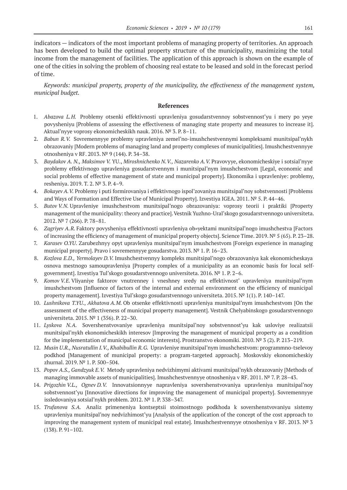indicators — indicators of the most important problems of managing property of territories. An approach has been developed to build the optimal property structure of the municipality, maximizing the total income from the management of facilities. The application of this approach is shown on the example of one of the cities in solving the problem of choosing real estate to be leased and sold in the forecast period of time.

*Keywords: municipal property, property of the municipality, the effectiveness of the management system, municipal budget.*

- 1. *Abazova L.H.* Problemy otsenki effektivnosti upravleniya gosudarstvennoy sobstvennost'yu i mery po yeye povysheniyu [Problems of assessing the effectiveness of managing state property and measures to increase it]. Aktual'nyye voprosy ekonomicheskikh nauk. 2016. № 3. P. 8–11.
- 2. *Babun R.V.* Sovremennyye problemy upravleniya zemel'no-imushchestvennymi kompleksami munitsipal'nykh obrazovaniy [Modern problems of managing land and property complexes of municipalities]. Imushchestvennyye otnosheniya v RF. 2013. № 9 (144). P. 34–38.
- 3. *Baydakov A. N., Maksimov V.* YU., *Miroshnichenko N. V., Nazarenko A. V.* Pravovyye, ekonomicheskiye i sotsial'nyye problemy effektivnogo upravleniya gosudarstvennym i munitsipal'nym imushchestvom [Legal, economic and social problems of effective management of state and municipal property]. Ekonomika i upravleniye: problemy, resheniya. 2019. T. 2. № 3. P. 4–9.
- 4. *Bokayev A.V.* Problemy i puti formirovaniya i effektivnogo ispol'zovaniya munitsipal'noy sobstvennosti [Problems and Ways of Formation and Effective Use of Municipal Property]. Izvestiya IGEA. 2011. № 5. P. 44–46.
- 5. *Butov V.N.* Upravleniye imushchestvom munitsipal'nogo obrazovaniya: voprosy teorii i praktiki [Property management of the municipality: theory and practice]. Vestnik Yuzhno-Ural'skogo gosudarstvennogo universiteta. 2012. № 7 (266). P. 78–81.
- 6. *Zagriyev A. R.* Faktory povysheniya effektivnosti upravleniya ob»yektami munitsipal'nogo imushchestva [Factors of increasing the efficiency of management of municipal property objects]. Science Time. 2019. № 5 (65). P. 23–28.
- 7. *Karasev O.YU*. Zarubezhnyy opyt upravleniya munitsipal'nym imushchestvom [Foreign experience in managing municipal property]. Pravo i sovremennyye gosudarstva. 2013. № 1. P. 16–23.
- 8. *Kozlova E.D., Yermolayev D.V.* Imushchestvennyy kompleks munitsipal'nogo obrazovaniya kak ekonomicheskaya osnova mestnogo samoupravleniya [Property complex of a municipality as an economic basis for local selfgovernment]. Izvestiya Tul'skogo gosudarstvennogo universiteta. 2016. № 1. P. 2–6.
- 9. *Komov V.E.* Vliyaniye faktorov vnutrenney i vneshney sredy na effektivnost' upravleniya munitsipal'nym imushchestvom [Influence of factors of the internal and external environment on the efficiency of municipal property management]. Izvestiya Tul'skogo gosudarstvennogo universiteta. 2015. № 1(1). P. 140–147.
- 10. *Lushnikova T.YU.*, *Akhatova A. M.* Ob otsenke effektivnosti upravleniya munitsipal'nym imushchestvom [On the assessment of the effectiveness of municipal property management]. Vestnik Chelyabinskogo gosudarstvennogo universiteta. 2015. № 1 (356). P. 22–30.
- 11. *Lyskova N.A.* Sovershenstvovaniye upravleniya munitsipal'noy sobstvennost'yu kak usloviye realizatsii munitsipal'nykh ekonomicheskikh interesov [Improving the management of municipal property as a condition for the implementation of municipal economic interests]. Prostranstvo ekonomiki. 2010. № 3 (2). P. 213–219.
- 12. *Musin U.R., Nusratullin I. V., Khabibullin R. G.* Upravleniye munitsipal'nym imushchestvom: programmno-tselevoy podkhod [Management of municipal property: a program-targeted approach]. Moskovskiy ekonomicheskiy zhurnal. 2019. № 1. P. 500–504.
- 13. *Popov A.S., Gandzyuk E.V.* Metody upravleniya nedvizhimymi aktivami munitsipal'nykh obrazovaniy [Methods of managing immovable assets of municipalities]. Imushchestvennyye otnosheniya v RF. 2011. Nº 7. P. 28-43.
- 14. *Prigozhin V.L., Ognev D.V.* Innovatsionnyye napravleniya sovershenstvovaniya upravleniya munitsipal'noy sobstvennost'yu [Innovative directions for improving the management of municipal property]. Sovremennyye issledovaniya sotsial'nykh problem. 2012. № 1. P. 338–347.
- 15. *Trufanova S.A.* Analiz primeneniya kontseptsii stoimostnogo podkhoda k sovershenstvovaniyu sistemy upravleniya munitsipal'noy nedvizhimost'yu [Analysis of the application of the concept of the cost approach to improving the management system of municipal real estate]. Imushchestvennyye otnosheniya v RF. 2013. № 3 (138). P. 91–102.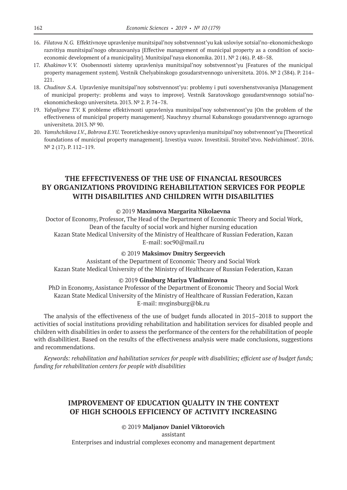- 16. *Filatova N.G.* Effektivnoye upravleniye munitsipal'noy sobstvennost'yu kak usloviye sotsial'no-ekonomicheskogo razvitiya munitsipal'nogo obrazovaniya [Effective management of municipal property as a condition of socioeconomic development of a municipality]. Munitsipal'naya ekonomika. 2011. Nº 2 (46). P. 48-58.
- 17. *Khakimov V.V.* Osobennosti sistemy upravleniya munitsipal'noy sobstvennost'yu [Features of the municipal property management system]. Vestnik Chelyabinskogo gosudarstvennogo universiteta. 2016. № 2 (384). P. 214– 221.
- 18. *Chudinov S.A.* Upravleniye munitsipal'noy sobstvennost'yu: problemy i puti sovershenstvovaniya [Management of municipal property: problems and ways to improve]. Vestnik Saratovskogo gosudarstvennogo sotsial'noekonomicheskogo universiteta. 2013. № 2. P. 74–78.
- 19. *Yalyaliyeva T.V.* K probleme effektivnosti upravleniya munitsipal'noy sobstvennost'yu [On the problem of the effectiveness of municipal property management]. Nauchnyy zhurnal Kubanskogo gosudarstvennogo agrarnogo universiteta. 2013. № 90.
- 20. *Yamshchikova I.V., Bobrova E.YU.* Teoreticheskiye osnovy upravleniya munitsipal'noy sobstvennost'yu [Theoretical foundations of municipal property management]. Izvestiya vuzov. Investitsii. Stroitel'stvo. Nedvizhimost'. 2016. N<sup>o</sup> 2 (17). P. 112-119.

# **THE EFFECTIVENESS OF THE USE OF FINANCIAL RESOURCES BY ORGANIZATIONS PROVIDING REHABILITATION SERVICES FOR PEOPLE WITH DISABILITIES AND CHILDREN WITH DISABILITIES**

#### ©© 2019 **Maximova Margarita Nikolaevna**

Doctor of Economy, Professor, The Head of the Department of Economic Theory and Social Work, Dean of the faculty of social work and higher nursing education Kazan State Medical University of the Ministry of Healthcare of Russian Federation, Kazan E-mail: soc90@mail.ru

#### ©© 2019 **Maksimov Dmitry Sergeevich**

Assistant of the Department of Economic Theory and Social Work Kazan State Medical University of the Ministry of Healthcare of Russian Federation, Kazan

#### ©© 2019 **Ginsburg Mariya Vladimirovna**

PhD in Economy, Assistance Professor of the Department of Economic Theory and Social Work Kazan State Medical University of the Ministry of Healthcare of Russian Federation, Kazan E‑mail: mvginsburg@bk.ru

The analysis of the effectiveness of the use of budget funds allocated in 2015–2018 to support the activities of social institutions providing rehabilitation and habilitation services for disabled people and children with disabilities in order to assess the performance of the centers for the rehabilitation of people with disabilitiest. Based on the results of the effectiveness analysis were made conclusions, suggestions and recommendations.

*Keywords: rehabilitation and habilitation services for people with disabilities; efficient use of budget funds; funding for rehabilitation centers for people with disabilities*

# **IMPROVEMENT OF EDUCATION QUALITY IN THE CONTEXT OF HIGH SCHOOLS EFFICIENCY OF ACTIVITY INCREASING**

## ©© 2019 **Maljanov Daniel Viktorovich**

assistant Enterprises and industrial complexes economy and management department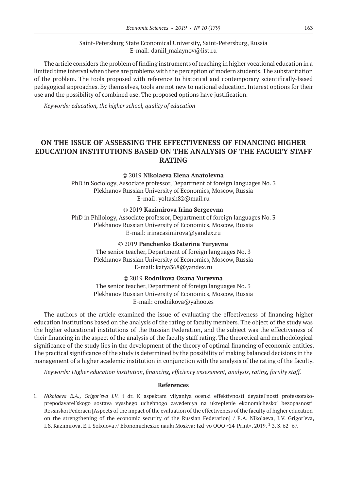## Saint-Petersburg State Economical University, Saint-Petersburg, Russia E‑mail: daniil\_malaynov@list.ru

The article considers the problem of finding instruments of teaching in higher vocational education in a limited time interval when there are problems with the perception of modern students. The substantiation of the problem. The tools proposed with reference to historical and contemporary scientifically-based pedagogical approaches. By themselves, tools are not new to national education. Interest options for their use and the possibility of combined use. The proposed options have justification.

*Keywords: education, the higher school, quality of education*

# **ON THE ISSUE OF ASSESSING THE EFFECTIVENESS OF FINANCING HIGHER EDUCATION INSTITUTIONS BASED ON THE ANALYSIS OF THE FACULTY STAFF RATING**

#### ©© 2019 **Nikolaeva Elena Anatolevna**

PhD in Sociology, Associate professor, Department of foreign languages No. 3 Plekhanov Russian University of Economics, Moscow, Russia E-mail: yoltash82@mail.ru

©© 2019 **Kazimirova Irina Sergeevna**

PhD in Philology, Associate professor, Department of foreign languages No. 3 Plekhanov Russian University of Economics, Moscow, Russia E‑mail: irinacasimirova@yandex.ru

#### ©© 2019 **Panchenko Ekaterina Yuryevna**

The senior teacher, Department of foreign languages No. 3 Plekhanov Russian University of Economics, Moscow, Russia E‑mail: katya368@yandex.ru

©© 2019 **Rodnikova Oxana Yuryevna**

The senior teacher, Department of foreign languages No. 3 Plekhanov Russian University of Economics, Moscow, Russia E‑mail: orodnikova@yahoo.es

The authors of the article examined the issue of evaluating the effectiveness of financing higher education institutions based on the analysis of the rating of faculty members. The object of the study was the higher educational institutions of the Russian Federation, and the subject was the effectiveness of their financing in the aspect of the analysis of the faculty staff rating. The theoretical and methodological significance of the study lies in the development of the theory of optimal financing of economic entities. The practical significance of the study is determined by the possibility of making balanced decisions in the management of a higher academic institution in conjunction with the analysis of the rating of the faculty.

*Keywords: Higher education institution, financing, efficiency assessment, analysis, rating, faculty staff.*

#### **References**

1. *Nikolaeva E.A., Grigor'eva I.V.* i dr. K aspektam vliyaniya ocenki effektivnosti deyatel'nosti professorskoprepodavatel'skogo sostava vysshego uchebnogo zavedeniya na ukreplenie ekonomicheskoi bezopasnosti Rossiiskoi Federacii [Aspects of the impact of the evaluation of the effectiveness of the faculty of higher education on the strengthening of the economic security of the Russian Federation] / E.A. Nikolaeva, I.V. Grigor'eva, I.S. Kazimirova, E.I. Sokolova // Ekonomicheskie nauki Moskva: Izd-vo OOO «24-Print», 2019. <sup>1</sup> 3. S. 62-67.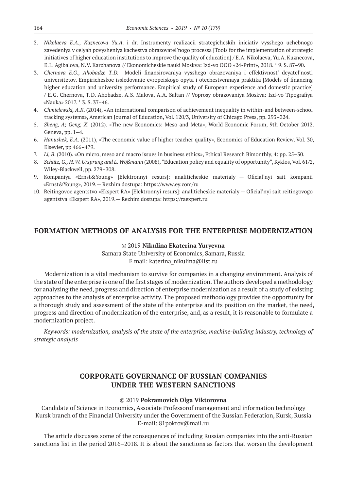- 2. *Nikolaeva E.A., Kuznecova Yu.A.* i dr. Instrumenty realizacii strategicheskih iniciativ vysshego uchebnogo zavedeniya v celyah povysheniya kachestva obrazovatel'nogo processa [Tools for the implementation of strategic initiatives of higher education institutions to improve the quality of education] / E.A. Nikolaeva, Yu.A. Kuznecova, E.L. Agibalova, N.V. Karzhanova // Ekonomicheskie nauki Moskva: Izd-vo OOO «24-Print», 2018. <sup>1</sup> 9. S. 87–90.
- 3. *Chernova E.G., Ahobadze T. D.*  Modeli finansirovaniya vysshego obrazovaniya i effektivnost' deyatel'nosti universitetov. Empiricheskoe issledovanie evropeiskogo opyta i otechestvennaya praktika [Models of financing higher education and university performance. Empirical study of European experience and domestic practice] / E.G. Chernova, T.D. Ahobadze, A.S. Malova, A.A. Saltan // Voprosy obrazovaniya Moskva: Izd-vo Tipografiya «Nauka» 2017.  $1\,$  3. S. 37-46.
- 4. *Chmielewski, A.K*. (2014), «An international comparison of achievement inequality in within-and between-school tracking systems», American Journal of Education, Vol. 120/3, University of Chicago Press, pp. 293–324.
- 5. *Sheng, A; Geng, X*. (2012). «The new Economics: Meso and Meta», World Economic Forum, 9th October 2012. Geneva, pp. 1–4.
- 6. *Hanushek, E.A*. (2011), «The economic value of higher teacher quality», Economics of Education Review, Vol. 30, Elsevier, pp 466–479.
- 7. *Li, B*. (2010). «On micro, meso and macro issues in business ethics», Ethical Research Bimonthly, 4: pp. 25–30.
- 8. *Schütz,G., H. W. Ursprung and L. Wößmann* (2008), "Education policy and equality of opportunity", Kyklos, Vol. 61/2, Wiley-Blackwell, pp. 279–308.
- 9. Kompaniya «Ernst&Young» [Elektronnyi resurs]: analiticheskie materialy Oficial'nyi sait kompanii «Ernst&Young», 2019.— Rezhim dostupa: https://www.ey.com/ru
- 10. Reitingovoe agentstvo «Ekspert RA» [Elektronnyi resurs]: analiticheskie materialy Oficial'nyi sait reitingovogo agentstva «Ekspert RA», 2019.— Rezhim dostupa: https://raexpert.ru

## **FORMATION METHODS OF ANALYSIS FOR THE ENTERPRISE MODERNIZATION**

©© 2019 **Nikulina Ekaterina Yuryevna** Samara State University of Economics, Samara, Russia E mail: katerina\_nikulina@list.ru

Modernization is a vital mechanism to survive for companies in a changing environment. Analysis of the state of the enterprise is one of the first stages of modernization. The authors developed a methodology for analyzing the need, progress and direction of enterprise modernization as a result of a study of existing approaches to the analysis of enterprise activity. The proposed methodology provides the opportunity for a thorough study and assessment of the state of the enterprise and its position on the market, the need, progress and direction of modernization of the enterprise, and, as a result, it is reasonable to formulate a modernization project.

*Keywords: modernization, analysis of the state of the enterprise, machine-building industry, technology of strategic analysis*

# **CORPORATE GOVERNANCE OF RUSSIAN COMPANIES UNDER THE WESTERN SANCTIONS**

#### ©© 2019 **Pokramovich Olga Viktorovna**

Candidate of Science in Economics, Associate Professorof management and information technology Kursk branch of the Financial University under the Government of the Russian Federation, Kursk, Russia Е‑mail: 81pokrov@mail.ru

The article discusses some of the consequences of including Russian companies into the anti-Russian sanctions list in the period 2016–2018. It is about the sanctions as factors that worsen the development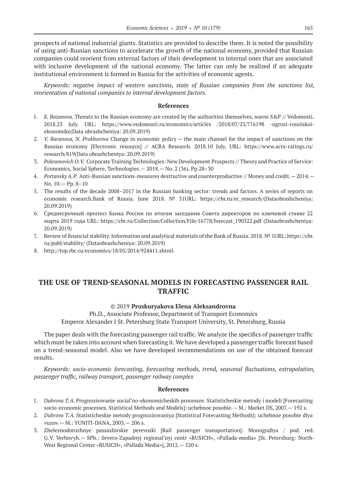prospects of national industrial giants. Statistics are provided to describe them. It is noted the possibility of using anti-Russian sanctions to accelerate the growth of the national economy, provided that Russian companies could reorient from external factors of their development to internal ones that are associated with inclusive development of the national economy. The latter can only be realized if an adequate institutional environment is formed in Russia for the activities of economic agents.

*Keywords: negative impact of western sanctions, state of Russian companies from the sanctions list, reorientation of national companies to internal development factors.*

#### **References**

- 1. *E. Bazanova*. Threats to the Russian economy are created by the authorities themselves, warns S&P // Vedomosti. 2018.23 July. URL: https://www.vedomosti.ru/economics/articles /2018/07/23/776198 -ugrozi-rossiiskoiekonomike(Data obrashcheniya: 20.09.2019)
- 2. *V. Baranova, N. Prokhorova* Change in economic policy the main channel for the impact of sanctions on the Russian economy [Electronic resource] // ACRA Research. 2018.10 July. URL: https://www.acra-ratings.ru/ research/819(Data obrashcheniya: 20.09.2019)
- 3. *Pokramovich O. V.* Corporate Training Technologies: New Development Prospects // Theory and Practice of Service: Economics, Social Sphere, Technologies.— 2018.— No. 2 (36). Pp.28–30
- 4. *Portansky A. P.* Anti-Russian sanctions-measures destructive and counterproductive // Money and credit.— 2014.— No. 10.— Pp. 8–10
- 5. The results of the decade 2008–2017 in the Russian banking sector: trends and factors. A series of reports on economic research.Bank of Russia. June 2018. Nº 31URL: https://cbr.ru/ec\_research/(Dataobrashcheniya: 20.09.2019)
- 6. Среднесрочный прогноз Банка России по итогам заседания Совета директоров по ключевой ставке 22 марта 2019 года URL: https://cbr.ru/Collection/Collection/File/16778/forecast\_190322.pdf (Dataobrashcheniya: 20.09.2019)
- 7. Review of financial stability. Information and analytical materials of the Bank of Russia. 2018. № 1URL: https://cbr. ru/publ/stability/ (Dataobrashcheniya: 20.09.2019)
- 8. http://top.rbc.ru/economics/18/05/2014/924411.shtml.

# **THE USE OF TREND-SEASONAL MODELS IN FORECASTING PASSENGER RAIL TRAFFIC**

## ©© 2019 **Proskuryakova Elena Aleksandrovna**

Ph.D., Associate Professor, Department of Transport Economics Emperor Alexander I St. Petersburg State Transport University, St. Petersburg, Russia

The paper deals with the forecasting passenger rail traffic. We analyze the specifics of passenger traffic which must be taken into account when forecasting it. We have developed a passenger traffic forecast based on a trend-seasonal model. Also we have developed recommendations on use of the obtained forecast results.

*Keywords: socio-economic forecasting, forecasting methods, trend, seasonal fluctuations, extrapolation, passenger traffic, railway transport, passenger railway complex*

- 1. *Dubrova T. A.* Prognozirovanie social'no-ekonomicheskih processov. Statisticheskie metody i modeli [Forecasting socio-economic processes. Statistical Methods and Models]: uchebnoe posobie.— M.: Market DS, 2007.— 192 s.
- 2. *Dubrova T. A.* Statisticheskie metody prognozirovaniya [Statistical Forecasting Methods]: uchebnoe posobie dlya vuzov.— M.: YUNITI-DANA, 2003.— 206 s.
- 3. Zheleznodorozhnye passazhirskie perevozki [Rail passenger transportation]: Monografiya / pod. red. G.V. Verhovyh.— SPb.: Severo-Zapadnyj regional'nyj centr «RUSICH», «Pallada-media» [St. Petersburg: North-West Regional Center «RUSICH», «Pallada Media»], 2012.— 520 s.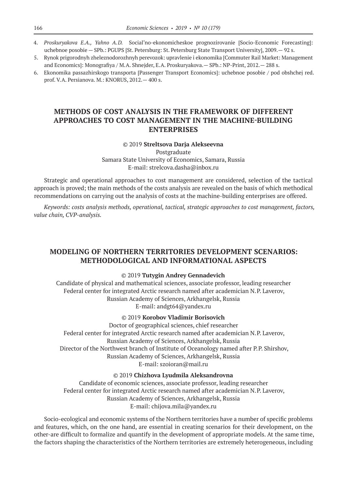- 4. *Proskuryakova E.A., Yahno A. D.*  Social'no-ekonomicheskoe prognozirovanie [Socio-Economic Forecasting]: uchebnoe posobie — SPb.: PGUPS [St. Petersburg: St. Petersburg State Transport University], 2009.— 92 s.
- 5. Rynok prigorodnyh zheleznodorozhnyh perevozok: upravlenie i ekonomika [Commuter Rail Market: Management and Economics]: Monografiya / M.A. Shnejder, E.A. Proskuryakova.— SPb.: NP-Print, 2012.— 288 s.
- 6. Ekonomika passazhirskogo transporta [Passenger Transport Economics]: uchebnoe posobie / pod obshchej red. prof. V.A. Persianova. M.: KNORUS, 2012.— 400 s.

# **METHODS OF COST ANALYSIS IN THE FRAMEWORK OF DIFFERENT APPROACHES TO COST MANAGEMENT IN THE MACHINE-BUILDING ENTERPRISES**

#### ©© 2019 **Streltsova Darja Alekseevna**

Postgraduate Samara State University of Economics, Samara, Russia E‑mail: strelcova.dasha@inbox.ru

Strategic and operational approaches to cost management are considered, selection of the tactical approach is proved; the main methods of the costs analysis are revealed on the basis of which methodical recommendations on carrying out the analysis of costs at the machine-building enterprises are offered.

*Keywords: costs analysis methods, operational, tactical, strategic approaches to cost management, factors, value chain, CVP-analysis.*

# **MODELING OF NORTHERN TERRITORIES DEVELOPMENT SCENARIOS: METHODOLOGICAL AND INFORMATIONAL ASPECTS**

#### ©© 2019 **Tutygin Andrey Gennadevich**

Candidate of physical and mathematical sciences, associate professor, leading researcher Federal center for integrated Arctic research named after academician N.P. Laverov, Russian Academy of Sciences, Arkhangelsk, Russia E‑mail: andgt64@yandex.ru

## ©© 2019 **Korobov Vladimir Borisovich**

Doctor of geographical sciences, chief researcher Federal center for integrated Arctic research named after academician N.P. Laverov, Russian Academy of Sciences, Arkhangelsk, Russia Director of the Northwest branch of Institute of Oceanology named after P.P. Shirshov, Russian Academy of Sciences, Arkhangelsk, Russia E-mail: szoioran@mail.ru

©© 2019 **Chizhova Lyudmila Aleksandrovna**

Candidate of economic sciences, associate professor, leading researcher Federal center for integrated Arctic research named after academician N.P. Laverov, Russian Academy of Sciences, Arkhangelsk, Russia E‑mail: chijova.mila@yandex.ru

Socio-ecological and economic systems of the Northern territories have a number of specific problems and features, which, on the one hand, are essential in creating scenarios for their development, on the other-are difficult to formalize and quantify in the development of appropriate models. At the same time, the factors shaping the characteristics of the Northern territories are extremely heterogeneous, including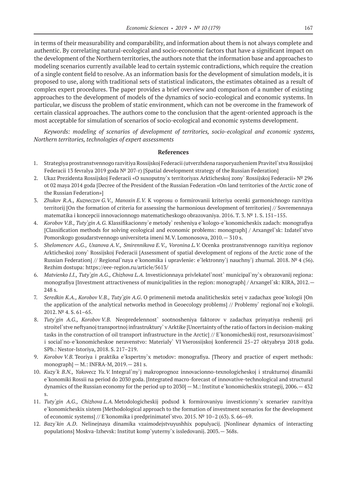in terms of their measurability and comparability, and information about them is not always complete and authentic. By correlating natural-ecological and socio-economic factors that have a significant impact on the development of the Northern territories, the authors note that the information base and approaches to modeling scenarios currently available lead to certain systemic contradictions, which require the creation of a single content field to resolve. As an information basis for the development of simulation models, it is proposed to use, along with traditional sets of statistical indicators, the estimates obtained as a result of complex expert procedures. The paper provides a brief overview and comparison of a number of existing approaches to the development of models of the dynamics of socio-ecological and economic systems. In particular, we discuss the problem of static environment, which can not be overcome in the framework of certain classical approaches. The authors come to the conclusion that the agent-oriented approach is the most acceptable for simulation of scenarios of socio-ecological and economic systems development.

*Keywords: modeling of scenarios of development of territories, socio-ecological and economic systems, Northern territories, technologies of expert assessments*

- 1. Strategiya prostranstvennogo razvitiya Rossijskoj Federacii (utverzhdena rasporyazheniem Pravitel`stva Rossijskoj Federacii 13 fevralya 2019 goda № 207-r) [Spatial development strategy of the Russian Federation]
- 2. Ukaz Prezidenta Rossijskoj Federacii «O suxoputny`x territoriyax Arkticheskoj zony` Rossijskoj Federacii» № 296 ot 02 maya 2014 goda [Decree of the President of the Russian Federation «On land territories of the Arctic zone of the Russian Federation»]
- 3. *Zhukov R.A., Kuzneczov G. V., Manoxin E. V.* K voprosu o formirovanii kriteriya ocenki garmonichnogo razvitiya territorij [On the formation of criteria for assessing the harmonious development of territories] // Sovremennaya matematika i koncepcii innovacionnogo matematicheskogo obrazovaniya. 2016. T. 3. № 1. S. 151–155.
- 4. *Korobov V.B., Tuty`gin A.G.* Klassifikacionny`e metody` resheniya e`kologo-e`konomicheskix zadach: monografiya [Classification methods for solving ecological and economic problems: monograph] / Arxangel`sk: Izdatel`stvo Pomorskogo gosudarstvennogo universiteta imeni M.V. Lomonosova, 2010.— 310 s.
- 5. *Shelomencev A.G., Uxanova A.V., Smirennikova E.V., Voronina L.V.* Ocenka prostranstvennogo razvitiya regionov Arkticheskoj zony` Rossijskoj Federacii [Assessment of spatial development of regions of the Arctic zone of the Russian Federation] // Regional`naya e`konomika i upravlenie: e`lektronny`j nauchny`j zhurnal. 2018. № 4 (56). Rezhim dostupa: https://eee-region.ru/article/5613/
- 6. *Matvienko I.I., Tuty`gin A.G., Chizhova L. A.* Investicionnaya privlekatel`nost` municipal`ny`x obrazovanij regiona: monografiya [Investment attractiveness of municipalities in the region: monograph] / Arxangel`sk: KIRA, 2012.— 248 s.
- 7. *Seredkin K.A., Korobov V.B., Tuty`gin A.G*. O primenenii metoda analiticheskix setej v zadachax geoe`kologii [On the application of the analytical networks method in Geoecology problems] // Problemy` regional`noj e`kologii. 2012. № 4. S. 61–65.
- 8. *Tuty`gin A.G., Korobov V.B.* Neopredelennost` sootnosheniya faktorov v zadachax prinyatiya reshenij pri stroitel`stve neftyanoj transportnoj infrastruktury` v Arktike [Uncertainty of the ratio of factors in decision-making tasks in the construction of oil transport infrastructure in the Arctic] // E`konomicheskij rost, resursozavisimost` i social`no-e`konomicheskoe neravenstvo: Materialy` VI Vserossijskoj konferencii 25–27 oktyabrya 2018 goda. SPb.: Nestor-Istoriya, 2018. S. 217–219.
- 9. *Korobov V.B.* Teoriya i praktika e`kspertny`x metodov: monografiya. [Theory and practice of expert methods: monograph] — M.: INFRA-M, 2019.— 281 s.
- 10. *Kuzy`k B.N., Yakovecz Yu.V.* Integral`ny`j makroprognoz innovacionno-texnologicheskoj i strukturnoj dinamiki e`konomiki Rossii na period do 2030 goda. [Integrated macro-forecast of innovative-technological and structural dynamics of the Russian economy for the period up to 2030] — M.: Institut e`konomicheskix strategij, 2006.— 432 s.
- 11. *Tuty`gin A.G., Chizhova L.A.* Metodologicheskij podxod k formirovaniyu investicionny`x scenariev razvitiya e`konomicheskix sistem [Methodological approach to the formation of investment scenarios for the development of economic systems] // E`konomika i predprinimatel`stvo. 2015. № 10–2 (63). S. 66–69.
- 12. *Bazy`kin A.D*. Nelinejnaya dinamika vzaimodejstvuyushhix populyacij. [Nonlinear dynamics of interacting populations] Moskva-Izhevsk: Institut komp`yuterny`x issledovanij. 2003.— 368s.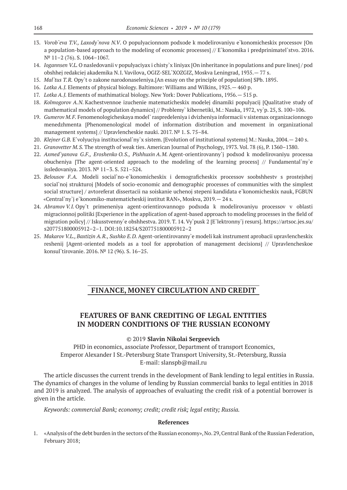- 13. *Vorob`eva T.V., Laxody`nova N.V*. O populyacionnom podxode k modelirovaniyu e`konomicheskix processov [On a population-based approach to the modeling of economic processes] // E`konomika i predprinimatel`stvo. 2016. № 11–2 (76). S. 1064–1067.
- 14. *Iogannsen V.L.* O nasledovanii v populyaciyax i chisty`x liniyax [On inheritance in populations and pure lines] / pod obshhej redakciej akademika N.I. Vavilova, OGIZ-SEL`XOZGIZ, Moskva Leningrad, 1935.— 77 s.
- 15. *Mal`tus T. R.* Opy`t o zakone narodonaseleniya.[An essay on the principle of population] SPb. 1895.
- 16. *Lotka A.J.* Elements of physical biology. Baltimore: Williams and Wilkins, 1925.— 460 p.
- 17. *Lotka A.J.* Elements of mathimatical biology. New York: Dover Publications, 1956.— 515 p.
- 18. *Kolmogorov A.N.* Kachestvennoe izuchenie matematicheskix modelej dinamiki populyacij [Qualitative study of mathematical models of population dynamics] // Problemy` kibernetiki, M.: Nauka, 1972, vy`p. 25, S. 100–106.
- 19. *Gumerov M. F.* Fenomenologicheskaya model` raspredeleniya i dvizheniya informacii v sistemax organizacionnogo menedzhmenta [Phenomenological model of information distribution and movement in organizational management systems] // Upravlencheskie nauki. 2017. № 1. S. 75–84.
- 20. *Klejner G.B.* E`volyuciya institucional`ny`x sistem. [Evolution of institutional systems] M.: Nauka, 2004.— 240 s.
- 21. *Granovetter M. S.* The strength of weak ties. American Journal of Psychology, 1973. Vol. 78 (6), P. 1360–1380.
- 22. *Axmed`yanova G.F., Eroshenko O. S., Pishhuxin A. M.* Agent-orientirovanny`j podxod k modelirovaniyu processa obucheniya [The agent-oriented approach to the modeling of the learning process] // Fundamental`ny`e issledovaniya. 2013. № 11–3. S. 521–524.
- 23. *Belousov F.A.* Modeli social`no-e`konomicheskix i demograficheskix processov soobshhestv s prostejshej social`noj strukturoj [Models of socio-economic and demographic processes of communities with the simplest social structure] / avtoreferat dissertacii na soiskanie uchenoj stepeni kandidata e`konomicheskix nauk, FGBUN «Central`ny`j e`konomiko-matematicheskij institut RAN», Moskva, 2019.— 24 s.
- 24. *Abramov V.I.* Opy`t primeneniya agent-orientirovannogo podxoda k modelirovaniyu processov v oblasti migracionnoj politiki [Experience in the application of agent-based approach to modeling processes in the field of migration policy] // Iskusstvenny`e obshhestva. 2019. T. 14. Vy`pusk 2 [E`lektronny`j resurs]. https://artsoc.jes.su/ s207751800005912–2–1. DOI:10.18254/S207751800005912–2
- 25. *Makarov V.L., Baxtizin A. R., Sushko E. D.* Agent-orientirovanny`e modeli kak instrument aprobacii upravlencheskix reshenij [Agent-oriented models as a tool for approbation of management decisions] // Upravlencheskoe konsul`tirovanie. 2016. № 12 (96). S. 16–25.

## **FINANCE, MONEY CIRCULATION AND CREDIT**

# **FEATURES OF BANK CREDITING OF LEGAL ENTITIES IN MODERN CONDITIONS OF THE RUSSIAN ECONOMY**

#### ©© 2019 **Slavin Nikolai Sergeevich**

PHD in economics, associate Professor, Department of transport Economics, Emperor Alexander I St.-Petersburg State Transport University, St.-Petersburg, Russia E‑mail: slanspb@mail.ru

The article discusses the current trends in the development of Bank lending to legal entities in Russia. The dynamics of changes in the volume of lending by Russian commercial banks to legal entities in 2018 and 2019 is analyzed. The analysis of approaches of evaluating the credit risk of a potential borrower is given in the article.

*Keywords: commercial Bank; economy; credit; credit risk; legal entity; Russia.*

#### **References**

1. «Analysis of the debt burden in the sectors of the Russian economy», No. 29, Central Bank of the Russian Federation, February 2018;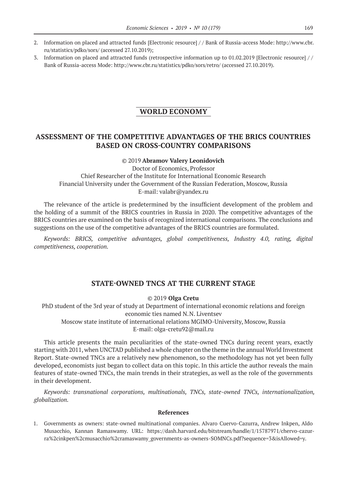- 2. Information on placed and attracted funds [Electronic resource] / / Bank of Russia-access Mode: http://www.cbr. ru/statistics/pdko/sors/ (accessed 27.10.2019);
- 3. Information on placed and attracted funds (retrospective information up to 01.02.2019 [Electronic resource] / / Bank of Russia-access Mode: http://www.cbr.ru/statistics/pdko/sors/retro/ (accessed 27.10.2019).

# **WORLD ECONOMY**

# **ASSESSMENT OF THE COMPETITIVE ADVANTAGES OF THE BRICS COUNTRIES BASED ON CROSS-COUNTRY COMPARISONS**

#### ©© 2019 **Abramov Valery Leonidovich**

Doctor of Economics, Professor Chief Researcher of the Institute for International Economic Research Financial University under the Government of the Russian Federation, Moscow, Russia E‑mail: valabr@yandex.ru

The relevance of the article is predetermined by the insufficient development of the problem and the holding of a summit of the BRICS countries in Russia in 2020. The competitive advantages of the BRICS countries are examined on the basis of recognized international comparisons. The conclusions and suggestions on the use of the competitive advantages of the BRICS countries are formulated.

*Keywords: BRICS, competitive advantages, global competitiveness, Industry 4.0, rating, digital competitiveness, cooperation.*

# **STATE-OWNED TNCS AT THE CURRENT STAGE**

©© 2019 **Olga Cretu**

PhD student of the 3rd year of study at Department of international economic relations and foreign economic ties named N.N. Liventsev Moscow state institute of international relations MGIMO-University, Moscow, Russia E-mail: olga-cretu92@mail.ru

This article presents the main peculiarities of the state-owned TNCs during recent years, exactly starting with 2011, when UNCTAD published a whole chapter on the theme in the annual World Investment Report. State-owned TNCs are a relatively new phenomenon, so the methodology has not yet been fully developed, economists just began to collect data on this topic. In this article the author reveals the main features of state-owned TNCs, the main trends in their strategies, as well as the role of the governments in their development.

*Keywords: transnational corporations, multinationals, TNCs, state-owned TNCs, internationalization, globalization.*

#### **References**

1. Governments as owners: state-owned multinational companies. Alvaro Cuervo-Cazurra, Andrew Inkpen, Aldo Musacchio, Kannan Ramaswamy. URL: https://dash.harvard.edu/bitstream/handle/1/15787971/chervo-cazurra%2cinkpen%2cmusacchio%2cramaswamy\_governments-as-owners-SOMNCs.pdf?sequence=3&isAllowed=y.